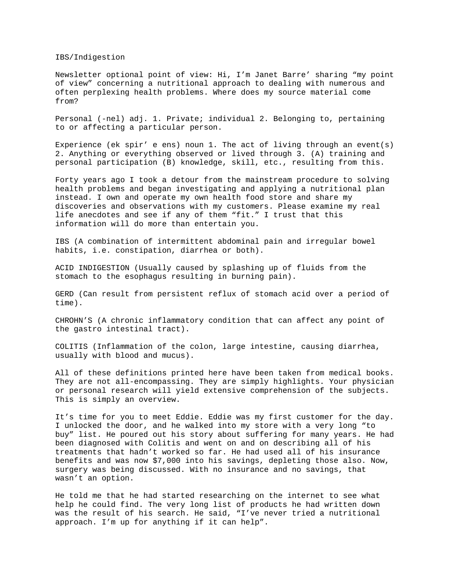IBS/Indigestion

Newsletter optional point of view: Hi, I'm Janet Barre' sharing "my point of view" concerning a nutritional approach to dealing with numerous and often perplexing health problems. Where does my source material come from?

Personal (-nel) adj. 1. Private; individual 2. Belonging to, pertaining to or affecting a particular person.

Experience (ek spir' e ens) noun 1. The act of living through an event(s) 2. Anything or everything observed or lived through 3. (A) training and personal participation (B) knowledge, skill, etc., resulting from this.

Forty years ago I took a detour from the mainstream procedure to solving health problems and began investigating and applying a nutritional plan instead. I own and operate my own health food store and share my discoveries and observations with my customers. Please examine my real life anecdotes and see if any of them "fit." I trust that this information will do more than entertain you.

IBS (A combination of intermittent abdominal pain and irregular bowel habits, i.e. constipation, diarrhea or both).

ACID INDIGESTION (Usually caused by splashing up of fluids from the stomach to the esophagus resulting in burning pain).

GERD (Can result from persistent reflux of stomach acid over a period of time).

CHROHN'S (A chronic inflammatory condition that can affect any point of the gastro intestinal tract).

COLITIS (Inflammation of the colon, large intestine, causing diarrhea, usually with blood and mucus).

All of these definitions printed here have been taken from medical books. They are not all-encompassing. They are simply highlights. Your physician or personal research will yield extensive comprehension of the subjects. This is simply an overview.

It's time for you to meet Eddie. Eddie was my first customer for the day. I unlocked the door, and he walked into my store with a very long "to buy" list. He poured out his story about suffering for many years. He had been diagnosed with Colitis and went on and on describing all of his treatments that hadn't worked so far. He had used all of his insurance benefits and was now \$7,000 into his savings, depleting those also. Now, surgery was being discussed. With no insurance and no savings, that wasn't an option.

He told me that he had started researching on the internet to see what help he could find. The very long list of products he had written down was the result of his search. He said, "I've never tried a nutritional approach. I'm up for anything if it can help".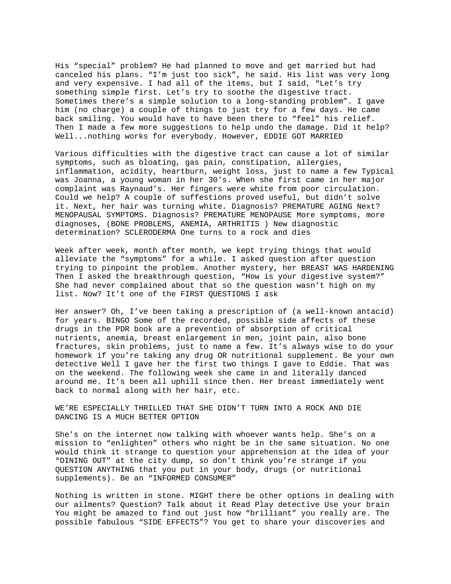His "special" problem? He had planned to move and get married but had canceled his plans. "I'm just too sick", he said. His list was very long and very expensive. I had all of the items, but I said, "Let's try something simple first. Let's try to soothe the digestive tract. Sometimes there's a simple solution to a long-standing problem". I gave him (no charge) a couple of things to just try for a few days. He came back smiling. You would have to have been there to "feel" his relief. Then I made a few more suggestions to help undo the damage. Did it help? Well...nothing works for everybody. However, EDDIE GOT MARRIED

Various difficulties with the digestive tract can cause a lot of similar symptoms, such as bloating, gas pain, constipation, allergies, inflammation, acidity, heartburn, weight loss, just to name a few Typical was Joanna, a young woman in her 30's. When she first came in her major complaint was Raynaud's. Her fingers were white from poor circulation. Could we help? A couple of suffestions proved useful, but didn't solve it. Next, her hair was turning white. Diagnosis? PREMATURE AGING Next? MENOPAUSAL SYMPTOMS. Diagnosis? PREMATURE MENOPAUSE More symptoms, more diagnoses, (BONE PROBLEMS, ANEMIA, ARTHRITIS ) New diagnostic determination? SCLERODERMA One turns to a rock and dies

Week after week, month after month, we kept trying things that would alleviate the "symptoms" for a while. I asked question after question trying to pinpoint the problem. Another mystery, her BREAST WAS HARDENING Then I asked the breakthrough question, "How is your digestive system?" She had never complained about that so the question wasn't high on my list. Now? It't one of the FIRST QUESTIONS I ask

Her answer? Oh, I've been taking a prescription of (a well-known antacid) for years. BINGO Some of the recorded, possible side affects of these drugs in the PDR book are a prevention of absorption of critical nutrients, anemia, breast enlargement in men, joint pain, also bone fractures, skin problems, just to name a few. It's always wise to do your homework if you're taking any drug OR nutritional supplement. Be your own detective Well I gave her the first two things I gave to Eddie. That was on the weekend. The following week she came in and literally danced around me. It's been all uphill since then. Her breast immediately went back to normal along with her hair, etc.

WE'RE ESPECIALLY THRILLED THAT SHE DIDN'T TURN INTO A ROCK AND DIE DANCING IS A MUCH BETTER OPTION

She's on the internet now talking with whoever wants help. She's on a mission to "enlighten" others who night be in the same situation. No one would think it strange to question your apprehension at the idea of your "DINING OUT" at the city dump, so don't think you're strange if you QUESTION ANYTHING that you put in your body, drugs (or nutritional supplements). Be an "INFORMED CONSUMER"

Nothing is written in stone. MIGHT there be other options in dealing with our ailments? Question? Talk about it Read Play detective Use your brain You might be amazed to find out just how "brilliant" you really are. The possible fabulous "SIDE EFFECTS"? You get to share your discoveries and